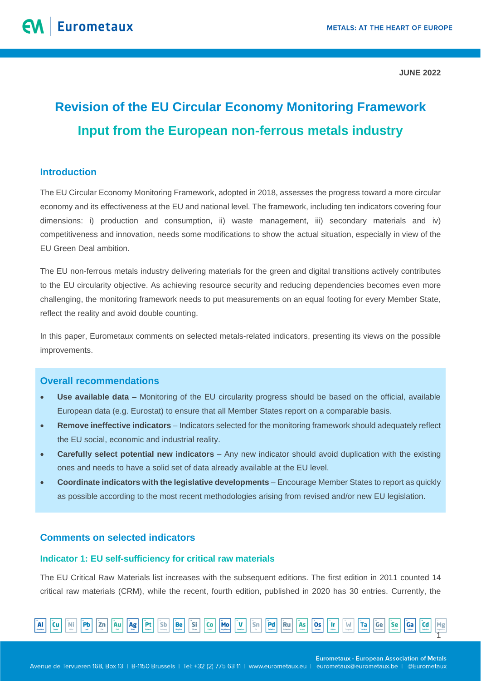# **Revision of the EU Circular Economy Monitoring Framework Input from the European non-ferrous metals industry**

# **Introduction**

The EU Circular Economy Monitoring Framework, adopted in 2018, assesses the progress toward a more circular economy and its effectiveness at the EU and national level. The framework, including ten indicators covering four dimensions: i) production and consumption, ii) waste management, iii) secondary materials and iv) competitiveness and innovation, needs some modifications to show the actual situation, especially in view of the EU Green Deal ambition.

The EU non-ferrous metals industry delivering materials for the green and digital transitions actively contributes to the EU circularity objective. As achieving resource security and reducing dependencies becomes even more challenging, the monitoring framework needs to put measurements on an equal footing for every Member State, reflect the reality and avoid double counting.

In this paper, Eurometaux comments on selected metals-related indicators, presenting its views on the possible improvements.

# **Overall recommendations**

- **Use available data** Monitoring of the EU circularity progress should be based on the official, available European data (e.g. Eurostat) to ensure that all Member States report on a comparable basis.
- **Remove ineffective indicators** Indicators selected for the monitoring framework should adequately reflect the EU social, economic and industrial reality.
- **Carefully select potential new indicators** Any new indicator should avoid duplication with the existing ones and needs to have a solid set of data already available at the EU level.
- **Coordinate indicators with the legislative developments** Encourage Member States to report as quickly as possible according to the most recent methodologies arising from revised and/or new EU legislation.

# **Comments on selected indicators**

## **Indicator 1: EU self-sufficiency for critical raw materials**

The EU Critical Raw Materials list increases with the subsequent editions. The first edition in 2011 counted 14 critical raw materials (CRM), while the recent, fourth edition, published in 2020 has 30 entries. Currently, the

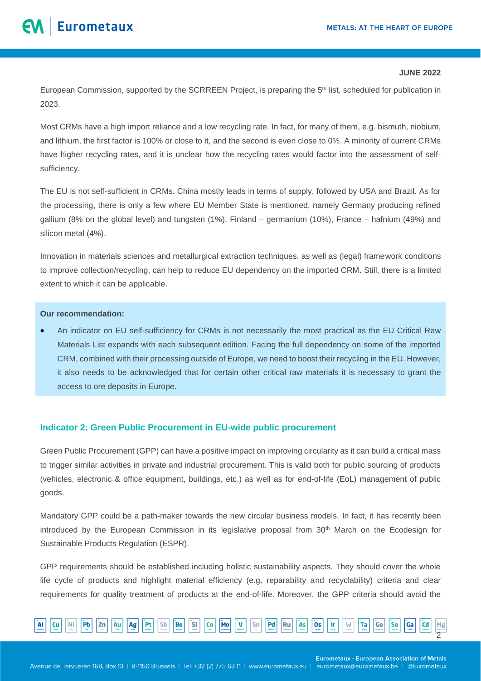European Commission, supported by the SCRREEN Project, is preparing the 5<sup>th</sup> list, scheduled for publication in 2023.

Most CRMs have a high import reliance and a low recycling rate. In fact, for many of them, e.g. bismuth, niobium, and lithium, the first factor is 100% or close to it, and the second is even close to 0%. A minority of current CRMs have higher recycling rates, and it is unclear how the recycling rates would factor into the assessment of selfsufficiency.

The EU is not self-sufficient in CRMs. China mostly leads in terms of supply, followed by USA and Brazil. As for the processing, there is only a few where EU Member State is mentioned, namely Germany producing refined gallium (8% on the global level) and tungsten (1%), Finland – germanium (10%), France – hafnium (49%) and silicon metal (4%).

Innovation in materials sciences and metallurgical extraction techniques, as well as (legal) framework conditions to improve collection/recycling, can help to reduce EU dependency on the imported CRM. Still, there is a limited extent to which it can be applicable.

# **Our recommendation:**

• An indicator on EU self-sufficiency for CRMs is not necessarily the most practical as the EU Critical Raw Materials List expands with each subsequent edition. Facing the full dependency on some of the imported CRM, combined with their processing outside of Europe, we need to boost their recycling in the EU. However, it also needs to be acknowledged that for certain other critical raw materials it is necessary to grant the access to ore deposits in Europe.

# **Indicator 2: Green Public Procurement in EU-wide public procurement**

Green Public Procurement (GPP) can have a positive impact on improving circularity as it can build a critical mass to trigger similar activities in private and industrial procurement. This is valid both for public sourcing of products (vehicles, electronic & office equipment, buildings, etc.) as well as for end-of-life (EoL) management of public goods.

Mandatory GPP could be a path-maker towards the new circular business models. In fact, it has recently been introduced by the European Commission in its legislative proposal from 30<sup>th</sup> March on the Ecodesign for Sustainable Products Regulation (ESPR).

GPP requirements should be established including holistic sustainability aspects. They should cover the whole life cycle of products and highlight material efficiency (e.g. reparability and recyclability) criteria and clear requirements for quality treatment of products at the end-of-life. Moreover, the GPP criteria should avoid the

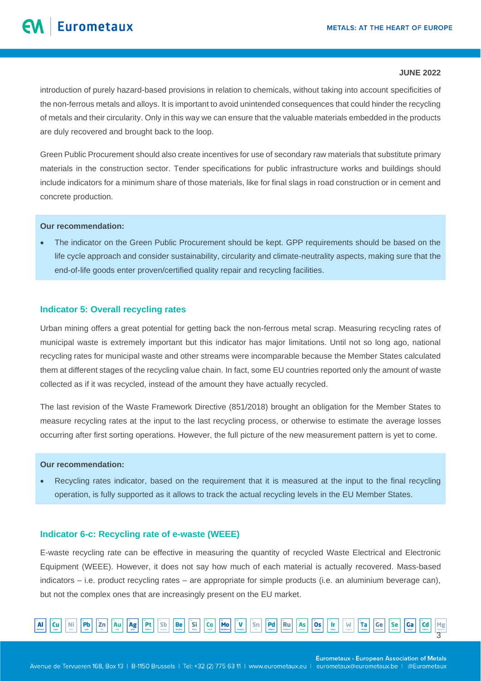introduction of purely hazard-based provisions in relation to chemicals, without taking into account specificities of the non-ferrous metals and alloys. It is important to avoid unintended consequences that could hinder the recycling of metals and their circularity. Only in this way we can ensure that the valuable materials embedded in the products are duly recovered and brought back to the loop.

Green Public Procurement should also create incentives for use of secondary raw materials that substitute primary materials in the construction sector. Tender specifications for public infrastructure works and buildings should include indicators for a minimum share of those materials, like for final slags in road construction or in cement and concrete production.

# **Our recommendation:**

The indicator on the Green Public Procurement should be kept. GPP requirements should be based on the life cycle approach and consider sustainability, circularity and climate-neutrality aspects, making sure that the end-of-life goods enter proven/certified quality repair and recycling facilities.

#### **Indicator 5: Overall recycling rates**

Urban mining offers a great potential for getting back the non-ferrous metal scrap. Measuring recycling rates of municipal waste is extremely important but this indicator has major limitations. Until not so long ago, national recycling rates for municipal waste and other streams were incomparable because the Member States calculated them at different stages of the recycling value chain. In fact, some EU countries reported only the amount of waste collected as if it was recycled, instead of the amount they have actually recycled.

The last revision of the Waste Framework Directive (851/2018) brought an obligation for the Member States to measure recycling rates at the input to the last recycling process, or otherwise to estimate the average losses occurring after first sorting operations. However, the full picture of the new measurement pattern is yet to come.

#### **Our recommendation:**

• Recycling rates indicator, based on the requirement that it is measured at the input to the final recycling operation, is fully supported as it allows to track the actual recycling levels in the EU Member States.

# **Indicator 6-c: Recycling rate of e-waste (WEEE)**

E-waste recycling rate can be effective in measuring the quantity of recycled Waste Electrical and Electronic Equipment (WEEE). However, it does not say how much of each material is actually recovered. Mass-based indicators – i.e. product recycling rates – are appropriate for simple products (i.e. an aluminium beverage can), but not the complex ones that are increasingly present on the EU market.

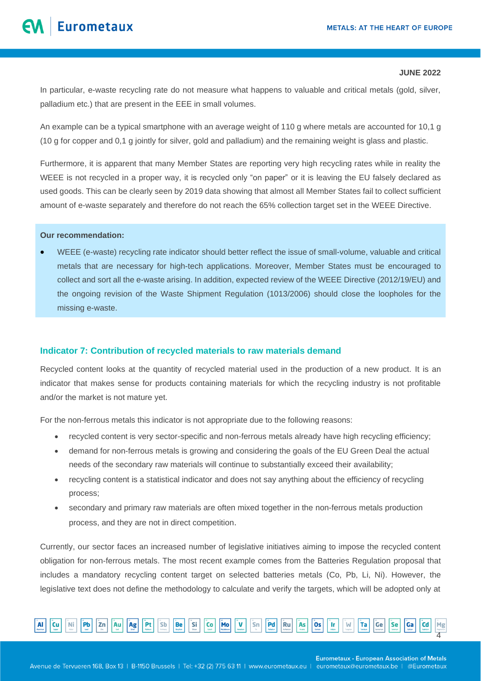In particular, e-waste recycling rate do not measure what happens to valuable and critical metals (gold, silver, palladium etc.) that are present in the EEE in small volumes.

An example can be a typical smartphone with an average weight of 110 g where metals are accounted for 10,1 g (10 g for copper and 0,1 g jointly for silver, gold and palladium) and the remaining weight is glass and plastic.

Furthermore, it is apparent that many Member States are reporting very high recycling rates while in reality the WEEE is not recycled in a proper way, it is recycled only "on paper" or it is leaving the EU falsely declared as used goods. This can be clearly seen by 2019 data showing that almost all Member States fail to collect sufficient amount of e-waste separately and therefore do not reach the 65% collection target set in the WEEE Directive.

# **Our recommendation:**

• WEEE (e-waste) recycling rate indicator should better reflect the issue of small-volume, valuable and critical metals that are necessary for high-tech applications. Moreover, Member States must be encouraged to collect and sort all the e-waste arising. In addition, expected review of the WEEE Directive (2012/19/EU) and the ongoing revision of the Waste Shipment Regulation (1013/2006) should close the loopholes for the missing e-waste.

# **Indicator 7: Contribution of recycled materials to raw materials demand**

Recycled content looks at the quantity of recycled material used in the production of a new product. It is an indicator that makes sense for products containing materials for which the recycling industry is not profitable and/or the market is not mature yet.

For the non-ferrous metals this indicator is not appropriate due to the following reasons:

- recycled content is very sector-specific and non-ferrous metals already have high recycling efficiency;
- demand for non-ferrous metals is growing and considering the goals of the EU Green Deal the actual needs of the secondary raw materials will continue to substantially exceed their availability;
- recycling content is a statistical indicator and does not say anything about the efficiency of recycling process;
- secondary and primary raw materials are often mixed together in the non-ferrous metals production process, and they are not in direct competition.

Currently, our sector faces an increased number of legislative initiatives aiming to impose the recycled content obligation for non-ferrous metals. The most recent example comes from the Batteries Regulation proposal that includes a mandatory recycling content target on selected batteries metals (Co, Pb, Li, Ni). However, the legislative text does not define the methodology to calculate and verify the targets, which will be adopted only at